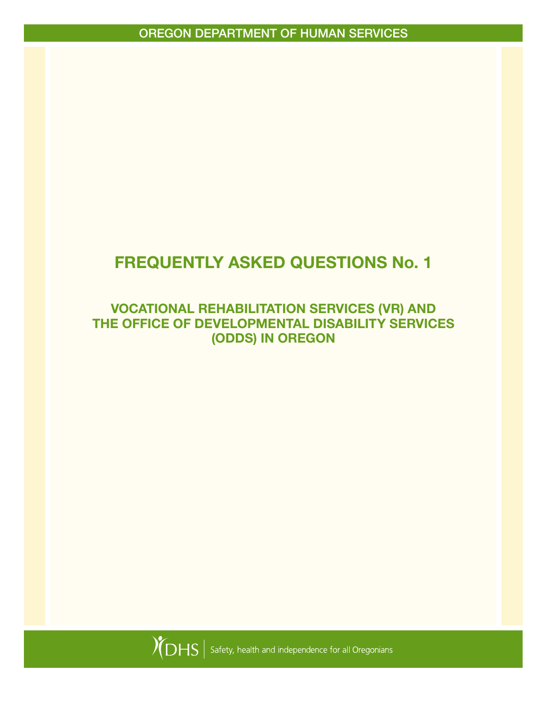# FREQUENTLY ASKED QUESTIONS No. 1

### VOCATIONAL REHABILITATION SERVICES (VR) AND THE OFFICE OF DEVELOPMENTAL DISABILITY SERVICES (ODDS) IN OREGON

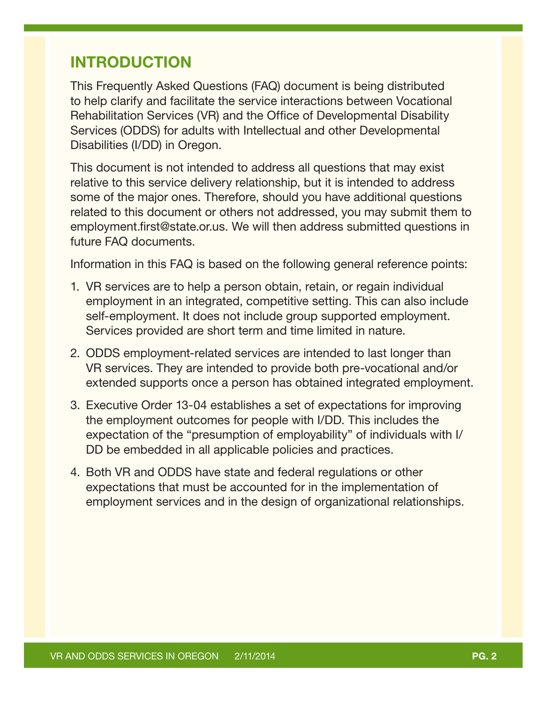## INTRODUCTION

This Frequently Asked Questions (FAQ) document is being distributed to help clarify and facilitate the service interactions between Vocational Rehabilitation Services (VR) and the Office of Developmental Disability Services (ODDS) for adults with Intellectual and other Developmental Disabilities (I/DD) in Oregon.

This document is not intended to address all questions that may exist relative to this service delivery relationship, but it is intended to address some of the major ones. Therefore, should you have additional questions related to this document or others not addressed, you may submit them to employment.first@state.or.us. We will then address submitted questions in future FAQ documents.

Information in this FAQ is based on the following general reference points:

- 1. VR services are to help a person obtain, retain, or regain individual employment in an integrated, competitive setting. This can also include self-employment. It does not include group supported employment. Services provided are short term and time limited in nature.
- 2. ODDS employment-related services are intended to last longer than VR services. They are intended to provide both pre-vocational and/or extended supports once a person has obtained integrated employment.
- 3. Executive Order 13-04 establishes a set of expectations for improving the employment outcomes for people with I/DD. This includes the expectation of the "presumption of employability" of individuals with I/ DD be embedded in all applicable policies and practices.
- 4. Both VR and ODDS have state and federal regulations or other expectations that must be accounted for in the implementation of employment services and in the design of organizational relationships.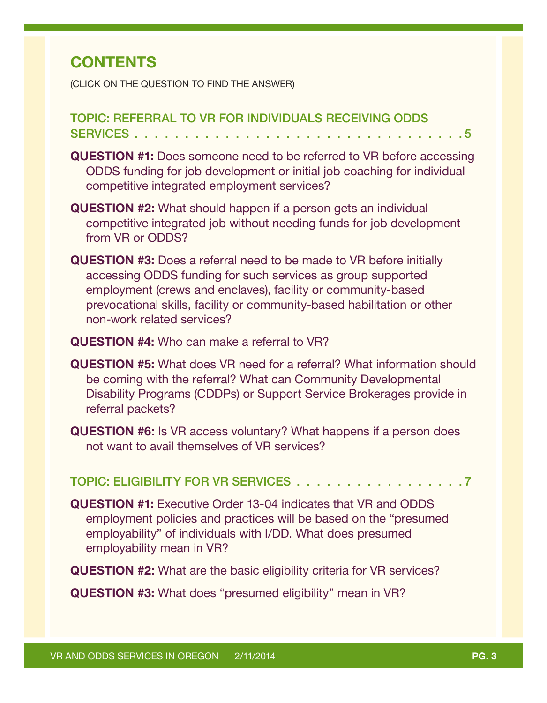# **CONTENTS**

(CLICK ON THE QUESTION TO FIND THE ANSWER)

#### [TOPIC: REFERRAL TO VR FOR INDIVIDUALS RECEIVING ODDS](#page-4-0)  SERVICES . . . . . . . . . . . . . . . . . .

- QUESTION #1: [Does someone need to be referred to VR before accessing](#page-4-0)  [ODDS funding for job development or initial job coaching for individual](#page-4-0)  [competitive integrated employment services?](#page-4-0)
- QUESTION #2: [What should happen if a person gets an individual](#page-4-0)  [competitive integrated job without needing funds for job development](#page-4-0)  [from VR or ODDS?](#page-4-0)
- QUESTION #3: [Does a referral need to be made to VR before initially](#page-5-0)  [accessing ODDS funding for such services as group supported](#page-5-0)  [employment \(crews and enclaves\), facility or community-based](#page-5-0)  [prevocational skills, facility or community-based habilitation or other](#page-5-0)  [non-work related services?](#page-5-0)
- QUESTION #4: [Who can make a referral to VR?](#page-5-0)
- QUESTION #5: [What does VR need for a referral? What information should](#page-5-0)  [be coming with the referral? What can Community Developmental](#page-5-0)  [Disability Programs \(CDDPs\) or Support Service Brokerages provide in](#page-5-0)  [referral packets?](#page-5-0)
- QUESTION #6: [Is VR access voluntary? What happens if a person does](#page-6-0)  [not want to avail themselves of VR services?](#page-6-0)

TOPIC: ELIGIBILITY FOR VR SERVICES . . . . . . . . . . . . . . . . . 7

- QUESTION #1: [Executive Order 13-04 indicates that VR and ODDS](#page-6-0)  [employment policies and practices will be based on the "presumed](#page-6-0)  [employability" of individuals with I/DD. What does presumed](#page-6-0)  [employability mean in VR?](#page-6-0)
- QUESTION #2: [What are the basic eligibility criteria for VR services?](#page-7-0)

QUESTION #3: [What does "presumed eligibility" mean in VR?](#page-7-0)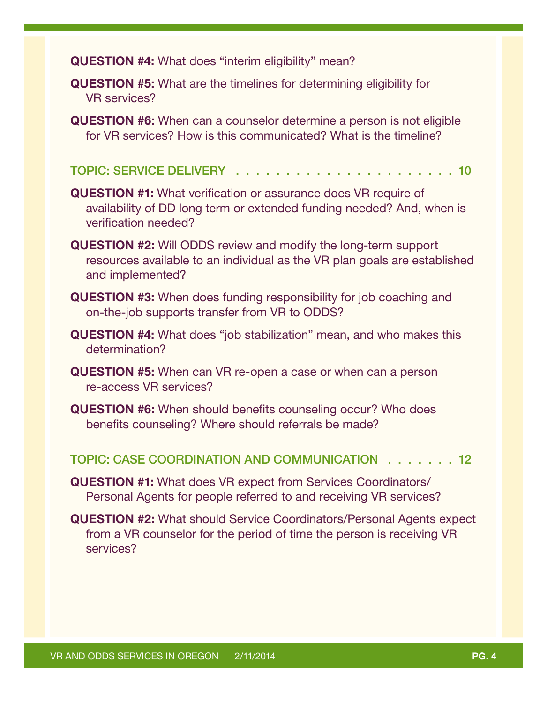QUESTION #4: [What does "interim eligibility" mean?](#page-7-0) 

- QUESTION #5: [What are the timelines for determining eligibility for](#page-8-0)  [VR services?](#page-8-0)
- QUESTION #6: [When can a counselor determine a person is not eligible](#page-8-0)  [for VR services? How is this communicated? What is the timeline?](#page-8-0)
- TOPIC: SERVICE DELIVERY I.I.I.I.I.I.I.I.I.I.I.I.I.I.I.I0
- QUESTION #1: [What verification or assurance does VR require of](#page-9-0)  [availability of DD long term or extended funding needed? And, when is](#page-9-0)  [verification needed?](#page-9-0)
- QUESTION #2: [Will ODDS review and modify the long-term support](#page-9-0)  [resources available to an individual as the VR plan goals are established](#page-9-0)  [and implemented?](#page-9-0)
- QUESTION #3: [When does funding responsibility for job coaching and](#page-10-0)  [on-the-job supports transfer from VR to ODDS?](#page-10-0)
- QUESTION #4: [What does "job stabilization" mean, and who makes this](#page-10-0)  [determination?](#page-10-0)
- QUESTION #5: [When can VR re-open a case or when can a person](#page-11-0)  [re-access VR services?](#page-11-0)
- QUESTION #6: [When should benefits counseling occur? Who does](#page-11-0)  [benefits counseling? Where should referrals be made?](#page-11-0)

[TOPIC: CASE COORDINATION AND COMMUNICATION 12](#page-11-0)

- QUESTION #1: [What does VR expect from Services Coordinators/](#page-11-0) [Personal Agents for people referred to and receiving VR services?](#page-11-0)
- QUESTION #2: [What should Service Coordinators/Personal Agents expect](#page-12-0)  [from a VR counselor for the period of time the person is receiving VR](#page-12-0)  [services?](#page-12-0)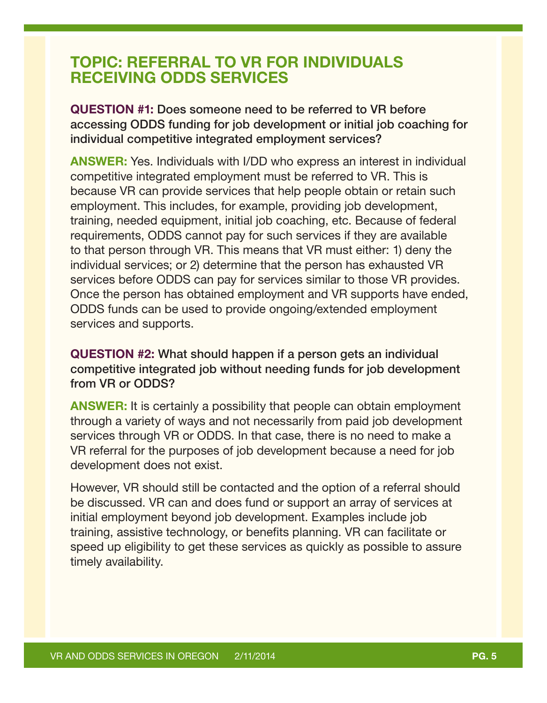## <span id="page-4-0"></span>TOPIC: REFERRAL TO VR FOR INDIVIDUALS RECEIVING ODDS SERVICES

QUESTION #1: Does someone need to be referred to VR before accessing ODDS funding for job development or initial job coaching for individual competitive integrated employment services?

ANSWER: Yes. Individuals with I/DD who express an interest in individual competitive integrated employment must be referred to VR. This is because VR can provide services that help people obtain or retain such employment. This includes, for example, providing job development, training, needed equipment, initial job coaching, etc. Because of federal requirements, ODDS cannot pay for such services if they are available to that person through VR. This means that VR must either: 1) deny the individual services; or 2) determine that the person has exhausted VR services before ODDS can pay for services similar to those VR provides. Once the person has obtained employment and VR supports have ended, ODDS funds can be used to provide ongoing/extended employment services and supports.

QUESTION #2: What should happen if a person gets an individual competitive integrated job without needing funds for job development from VR or ODDS?

ANSWER: It is certainly a possibility that people can obtain employment through a variety of ways and not necessarily from paid job development services through VR or ODDS. In that case, there is no need to make a VR referral for the purposes of job development because a need for job development does not exist.

However, VR should still be contacted and the option of a referral should be discussed. VR can and does fund or support an array of services at initial employment beyond job development. Examples include job training, assistive technology, or benefits planning. VR can facilitate or speed up eligibility to get these services as quickly as possible to assure timely availability.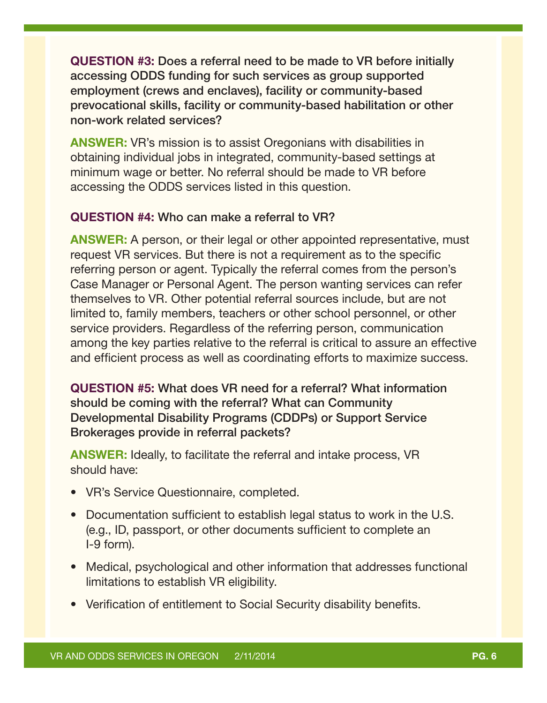<span id="page-5-0"></span>QUESTION #3: Does a referral need to be made to VR before initially accessing ODDS funding for such services as group supported employment (crews and enclaves), facility or community-based prevocational skills, facility or community-based habilitation or other non-work related services?

**ANSWER:** VR's mission is to assist Oregonians with disabilities in obtaining individual jobs in integrated, community-based settings at minimum wage or better. No referral should be made to VR before accessing the ODDS services listed in this question.

#### QUESTION #4: Who can make a referral to VR?

ANSWER: A person, or their legal or other appointed representative, must request VR services. But there is not a requirement as to the specific referring person or agent. Typically the referral comes from the person's Case Manager or Personal Agent. The person wanting services can refer themselves to VR. Other potential referral sources include, but are not limited to, family members, teachers or other school personnel, or other service providers. Regardless of the referring person, communication among the key parties relative to the referral is critical to assure an effective and efficient process as well as coordinating efforts to maximize success.

QUESTION #5: What does VR need for a referral? What information should be coming with the referral? What can Community Developmental Disability Programs (CDDPs) or Support Service Brokerages provide in referral packets?

ANSWER: Ideally, to facilitate the referral and intake process, VR should have:

- VR's Service Questionnaire, completed.
- Documentation sufficient to establish legal status to work in the U.S. (e.g., ID, passport, or other documents sufficient to complete an I-9 form).
- Medical, psychological and other information that addresses functional limitations to establish VR eligibility.
- Verification of entitlement to Social Security disability benefits.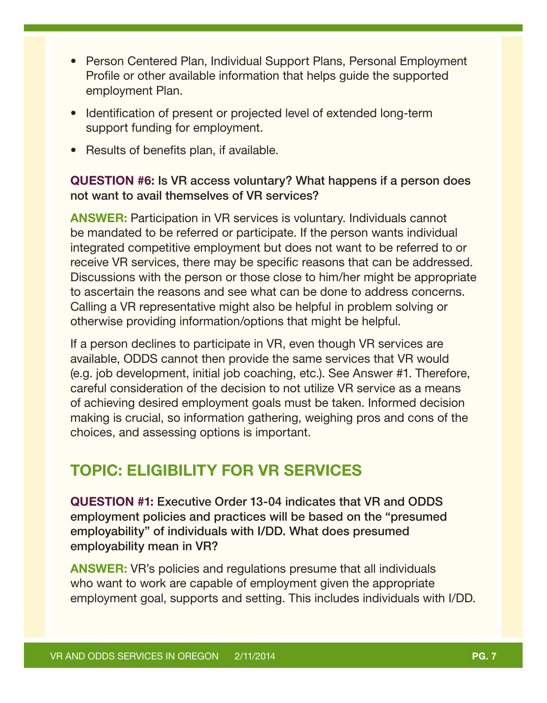- <span id="page-6-0"></span>• Person Centered Plan, Individual Support Plans, Personal Employment Profile or other available information that helps guide the supported employment Plan.
- Identification of present or projected level of extended long-term support funding for employment.
- Results of benefits plan, if available.

#### QUESTION #6: Is VR access voluntary? What happens if a person does not want to avail themselves of VR services?

ANSWER: Participation in VR services is voluntary. Individuals cannot be mandated to be referred or participate. If the person wants individual integrated competitive employment but does not want to be referred to or receive VR services, there may be specific reasons that can be addressed. Discussions with the person or those close to him/her might be appropriate to ascertain the reasons and see what can be done to address concerns. Calling a VR representative might also be helpful in problem solving or otherwise providing information/options that might be helpful.

If a person declines to participate in VR, even though VR services are available, ODDS cannot then provide the same services that VR would (e.g. job development, initial job coaching, etc.). See Answer #1. Therefore, careful consideration of the decision to not utilize VR service as a means of achieving desired employment goals must be taken. Informed decision making is crucial, so information gathering, weighing pros and cons of the choices, and assessing options is important.

# TOPIC: ELIGIBILITY FOR VR SERVICES

QUESTION #1: Executive Order 13-04 indicates that VR and ODDS employment policies and practices will be based on the "presumed employability" of individuals with I/DD. What does presumed employability mean in VR?

ANSWER: VR's policies and regulations presume that all individuals who want to work are capable of employment given the appropriate employment goal, supports and setting. This includes individuals with I/DD.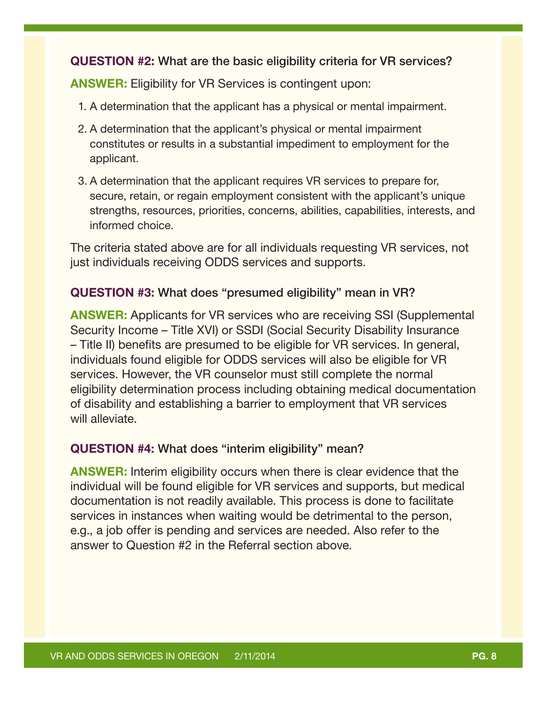#### <span id="page-7-0"></span>QUESTION #2: What are the basic eligibility criteria for VR services?

ANSWER: Eligibility for VR Services is contingent upon:

- 1. A determination that the applicant has a physical or mental impairment.
- 2. A determination that the applicant's physical or mental impairment constitutes or results in a substantial impediment to employment for the applicant.
- 3. A determination that the applicant requires VR services to prepare for, secure, retain, or regain employment consistent with the applicant's unique strengths, resources, priorities, concerns, abilities, capabilities, interests, and informed choice.

The criteria stated above are for all individuals requesting VR services, not just individuals receiving ODDS services and supports.

#### QUESTION #3: What does "presumed eligibility" mean in VR?

ANSWER: Applicants for VR services who are receiving SSI (Supplemental Security Income – Title XVI) or SSDI (Social Security Disability Insurance – Title II) benefits are presumed to be eligible for VR services. In general, individuals found eligible for ODDS services will also be eligible for VR services. However, the VR counselor must still complete the normal eligibility determination process including obtaining medical documentation of disability and establishing a barrier to employment that VR services will alleviate.

#### QUESTION #4: What does "interim eligibility" mean?

ANSWER: Interim eligibility occurs when there is clear evidence that the individual will be found eligible for VR services and supports, but medical documentation is not readily available. This process is done to facilitate services in instances when waiting would be detrimental to the person, e.g., a job offer is pending and services are needed. Also refer to the answer to Question #2 in the Referral section above.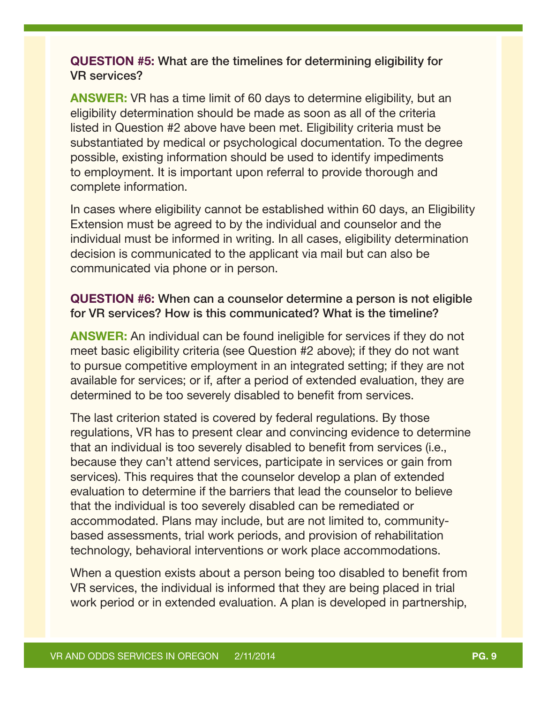#### <span id="page-8-0"></span>QUESTION #5: What are the timelines for determining eligibility for VR services?

ANSWER: VR has a time limit of 60 days to determine eligibility, but an eligibility determination should be made as soon as all of the criteria listed in Question #2 above have been met. Eligibility criteria must be substantiated by medical or psychological documentation. To the degree possible, existing information should be used to identify impediments to employment. It is important upon referral to provide thorough and complete information.

In cases where eligibility cannot be established within 60 days, an Eligibility Extension must be agreed to by the individual and counselor and the individual must be informed in writing. In all cases, eligibility determination decision is communicated to the applicant via mail but can also be communicated via phone or in person.

#### QUESTION #6: When can a counselor determine a person is not eligible for VR services? How is this communicated? What is the timeline?

ANSWER: An individual can be found ineligible for services if they do not meet basic eligibility criteria (see Question #2 above); if they do not want to pursue competitive employment in an integrated setting; if they are not available for services; or if, after a period of extended evaluation, they are determined to be too severely disabled to benefit from services.

The last criterion stated is covered by federal regulations. By those regulations, VR has to present clear and convincing evidence to determine that an individual is too severely disabled to benefit from services (i.e., because they can't attend services, participate in services or gain from services). This requires that the counselor develop a plan of extended evaluation to determine if the barriers that lead the counselor to believe that the individual is too severely disabled can be remediated or accommodated. Plans may include, but are not limited to, communitybased assessments, trial work periods, and provision of rehabilitation technology, behavioral interventions or work place accommodations.

When a question exists about a person being too disabled to benefit from VR services, the individual is informed that they are being placed in trial work period or in extended evaluation. A plan is developed in partnership,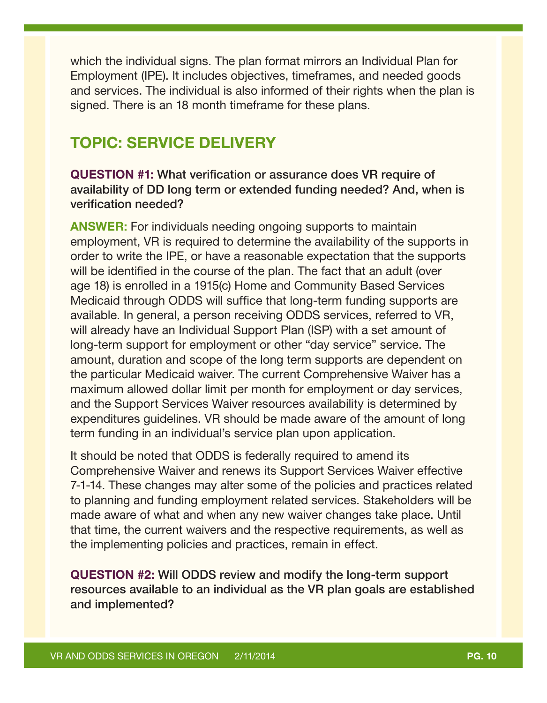<span id="page-9-0"></span>which the individual signs. The plan format mirrors an Individual Plan for Employment (IPE). It includes objectives, timeframes, and needed goods and services. The individual is also informed of their rights when the plan is signed. There is an 18 month timeframe for these plans.

## TOPIC: SERVICE DELIVERY

QUESTION #1: What verification or assurance does VR require of availability of DD long term or extended funding needed? And, when is verification needed?

ANSWER: For individuals needing ongoing supports to maintain employment, VR is required to determine the availability of the supports in order to write the IPE, or have a reasonable expectation that the supports will be identified in the course of the plan. The fact that an adult (over age 18) is enrolled in a 1915(c) Home and Community Based Services Medicaid through ODDS will suffice that long-term funding supports are available. In general, a person receiving ODDS services, referred to VR, will already have an Individual Support Plan (ISP) with a set amount of long-term support for employment or other "day service" service. The amount, duration and scope of the long term supports are dependent on the particular Medicaid waiver. The current Comprehensive Waiver has a maximum allowed dollar limit per month for employment or day services, and the Support Services Waiver resources availability is determined by expenditures guidelines. VR should be made aware of the amount of long term funding in an individual's service plan upon application.

It should be noted that ODDS is federally required to amend its Comprehensive Waiver and renews its Support Services Waiver effective 7-1-14. These changes may alter some of the policies and practices related to planning and funding employment related services. Stakeholders will be made aware of what and when any new waiver changes take place. Until that time, the current waivers and the respective requirements, as well as the implementing policies and practices, remain in effect.

QUESTION #2: Will ODDS review and modify the long-term support resources available to an individual as the VR plan goals are established and implemented?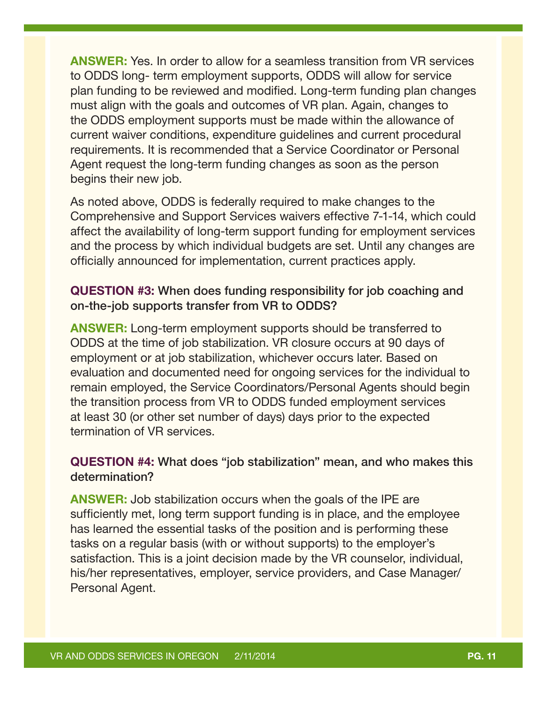<span id="page-10-0"></span>ANSWER: Yes. In order to allow for a seamless transition from VR services to ODDS long- term employment supports, ODDS will allow for service plan funding to be reviewed and modified. Long-term funding plan changes must align with the goals and outcomes of VR plan. Again, changes to the ODDS employment supports must be made within the allowance of current waiver conditions, expenditure guidelines and current procedural requirements. It is recommended that a Service Coordinator or Personal Agent request the long-term funding changes as soon as the person begins their new job.

As noted above, ODDS is federally required to make changes to the Comprehensive and Support Services waivers effective 7-1-14, which could affect the availability of long-term support funding for employment services and the process by which individual budgets are set. Until any changes are officially announced for implementation, current practices apply.

#### QUESTION #3: When does funding responsibility for job coaching and on-the-job supports transfer from VR to ODDS?

ANSWER: Long-term employment supports should be transferred to ODDS at the time of job stabilization. VR closure occurs at 90 days of employment or at job stabilization, whichever occurs later. Based on evaluation and documented need for ongoing services for the individual to remain employed, the Service Coordinators/Personal Agents should begin the transition process from VR to ODDS funded employment services at least 30 (or other set number of days) days prior to the expected termination of VR services.

#### QUESTION #4: What does "job stabilization" mean, and who makes this determination?

**ANSWER:** Job stabilization occurs when the goals of the IPE are sufficiently met, long term support funding is in place, and the employee has learned the essential tasks of the position and is performing these tasks on a regular basis (with or without supports) to the employer's satisfaction. This is a joint decision made by the VR counselor, individual, his/her representatives, employer, service providers, and Case Manager/ Personal Agent.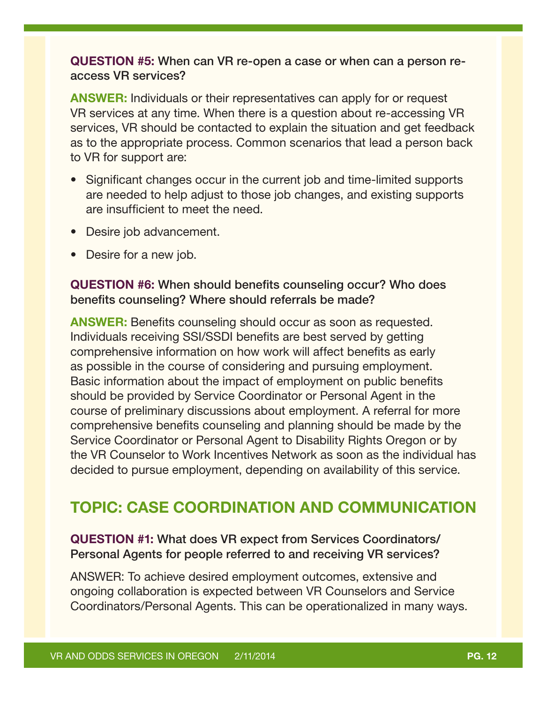#### <span id="page-11-0"></span>QUESTION #5: When can VR re-open a case or when can a person reaccess VR services?

ANSWER: Individuals or their representatives can apply for or request VR services at any time. When there is a question about re-accessing VR services, VR should be contacted to explain the situation and get feedback as to the appropriate process. Common scenarios that lead a person back to VR for support are:

- Significant changes occur in the current job and time-limited supports are needed to help adjust to those job changes, and existing supports are insufficient to meet the need.
- Desire job advancement.
- Desire for a new job.

#### QUESTION #6: When should benefits counseling occur? Who does benefits counseling? Where should referrals be made?

ANSWER: Benefits counseling should occur as soon as requested. Individuals receiving SSI/SSDI benefits are best served by getting comprehensive information on how work will affect benefits as early as possible in the course of considering and pursuing employment. Basic information about the impact of employment on public benefits should be provided by Service Coordinator or Personal Agent in the course of preliminary discussions about employment. A referral for more comprehensive benefits counseling and planning should be made by the Service Coordinator or Personal Agent to Disability Rights Oregon or by the VR Counselor to Work Incentives Network as soon as the individual has decided to pursue employment, depending on availability of this service.

# TOPIC: CASE COORDINATION AND COMMUNICATION

#### QUESTION #1: What does VR expect from Services Coordinators/ Personal Agents for people referred to and receiving VR services?

ANSWER: To achieve desired employment outcomes, extensive and ongoing collaboration is expected between VR Counselors and Service Coordinators/Personal Agents. This can be operationalized in many ways.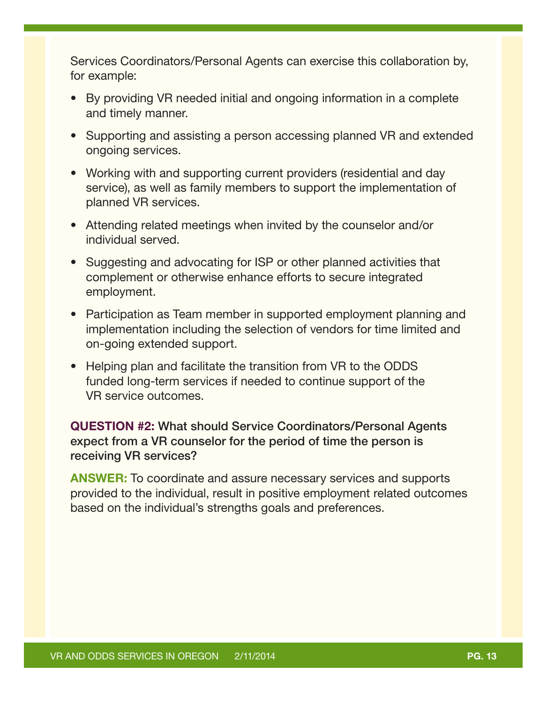<span id="page-12-0"></span>Services Coordinators/Personal Agents can exercise this collaboration by, for example:

- By providing VR needed initial and ongoing information in a complete and timely manner.
- Supporting and assisting a person accessing planned VR and extended ongoing services.
- Working with and supporting current providers (residential and day service), as well as family members to support the implementation of planned VR services.
- Attending related meetings when invited by the counselor and/or individual served.
- Suggesting and advocating for ISP or other planned activities that complement or otherwise enhance efforts to secure integrated employment.
- Participation as Team member in supported employment planning and implementation including the selection of vendors for time limited and on-going extended support.
- Helping plan and facilitate the transition from VR to the ODDS funded long-term services if needed to continue support of the VR service outcomes.

#### QUESTION #2: What should Service Coordinators/Personal Agents expect from a VR counselor for the period of time the person is receiving VR services?

ANSWER: To coordinate and assure necessary services and supports provided to the individual, result in positive employment related outcomes based on the individual's strengths goals and preferences.